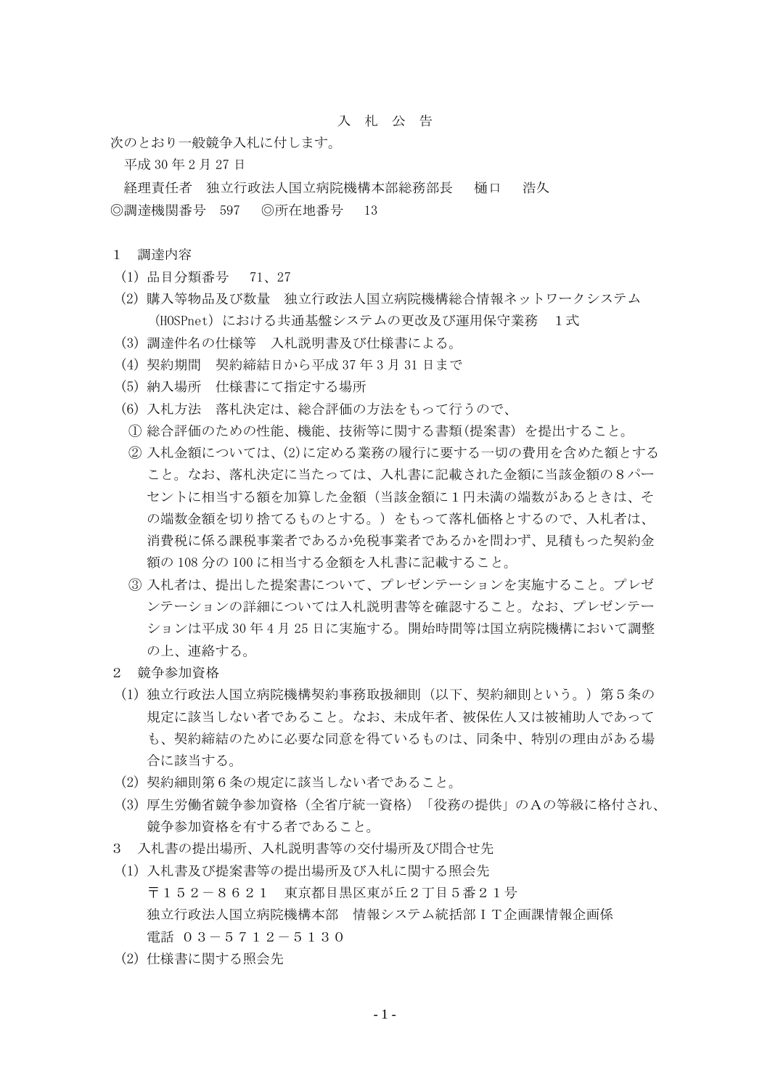## 入 札 公 告

次のとおり一般競争入札に付します。

平成 30 年 2 月 27 日

経理責任者 独立行政法人国立病院機構本部総務部長 樋口 浩久 ◎調達機関番号 597 ◎所在地番号 13

## 1 調達内容

- (1) 品目分類番号 71、27
- (2) 購入等物品及び数量 独立行政法人国立病院機構総合情報ネットワークシステム (HOSPnet)における共通基盤システムの更改及び運用保守業務 1式
- (3) 調達件名の仕様等 入札説明書及び仕様書による。
- (4) 契約期間 契約締結日から平成 37 年 3 月 31 日まで
- (5) 納入場所 仕様書にて指定する場所
- (6) 入札方法 落札決定は、総合評価の方法をもって行うので、
- ① 総合評価のための性能、機能、技術等に関する書類(提案書)を提出すること。
- ② 入札金額については、(2)に定める業務の履行に要する一切の費用を含めた額とする こと。なお、落札決定に当たっては、入札書に記載された金額に当該金額の8パー セントに相当する額を加算した金額(当該金額に1円未満の端数があるときは、そ の端数金額を切り捨てるものとする。)をもって落札価格とするので、入札者は、 消費税に係る課税事業者であるか免税事業者であるかを問わず、見積もった契約金 額の 108 分の 100 に相当する金額を入札書に記載すること。
- ③ 入札者は、提出した提案書について、プレゼンテーションを実施すること。プレゼ ンテーションの詳細については入札説明書等を確認すること。なお、プレゼンテー ションは平成 30 年 4 月 25 日に実施する。開始時間等は国立病院機構において調整 の上、連絡する。
- 2 競争参加資格
	- (1) 独立行政法人国立病院機構契約事務取扱細則(以下、契約細則という。)第5条の 規定に該当しない者であること。なお、未成年者、被保佐人又は被補助人であって も、契約締結のために必要な同意を得ているものは、同条中、特別の理由がある場 合に該当する。
- (2) 契約細則第6条の規定に該当しない者であること。
- (3) 厚生労働省競争参加資格(全省庁統一資格)「役務の提供」のAの等級に格付され、 競争参加資格を有する者であること。
- 3 入札書の提出場所、入札説明書等の交付場所及び問合せ先
- (1) 入札書及び提案書等の提出場所及び入札に関する照会先 〒152-8621 東京都目黒区東が丘2丁目5番21号 独立行政法人国立病院機構本部 情報システム統括部IT企画課情報企画係 電話 03-5712-5130
- (2) 仕様書に関する照会先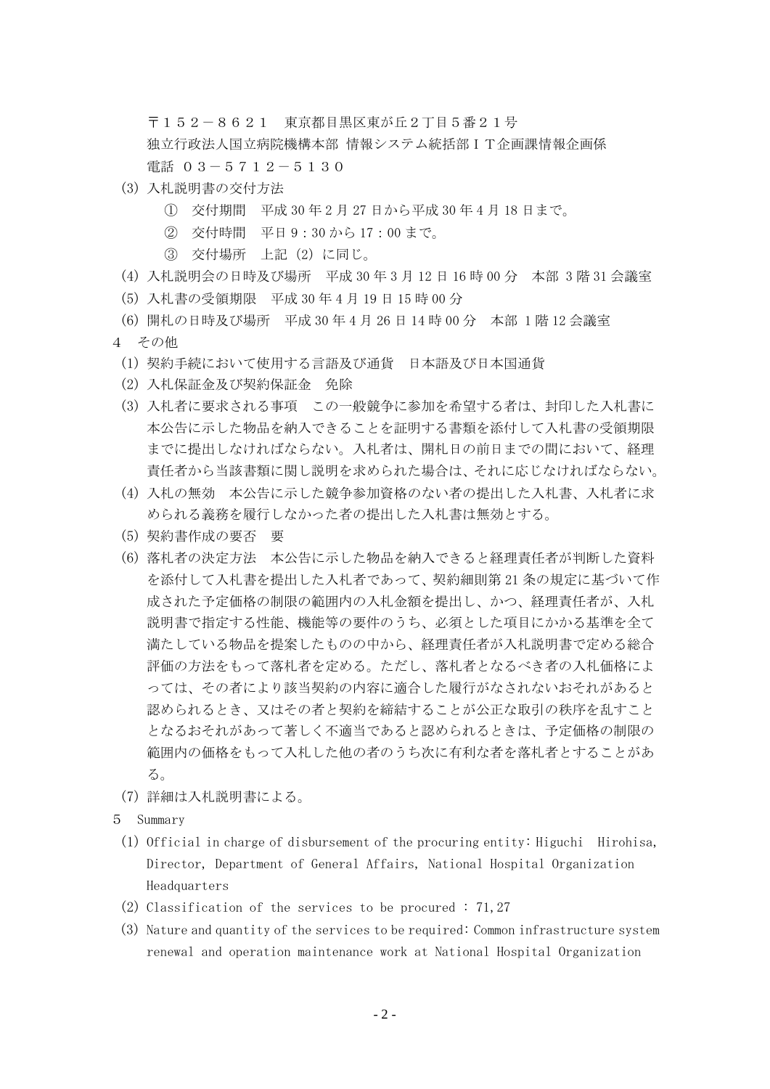〒152-8621 東京都目黒区東が丘2丁目5番21号 独立行政法人国立病院機構本部 情報システム統括部 I T企画課情報企画係 電話 03-5712-5130

- (3) 入札説明書の交付方法
	- ① 交付期間 平成 30 年 2 月 27 日から平成 30 年 4 月 18 日まで。
	- ② 交付時間 平日 9:30 から 17:00 まで。
	- ③ 交付場所 上記(2)に同じ。
- (4) 入札説明会の日時及び場所 平成 30 年 3 月 12 日 16 時 00 分 本部 3 階 31 会議室
- (5) 入札書の受領期限 平成 30 年 4 月 19 日 15 時 00 分
- (6) 開札の日時及び場所 平成 30 年 4 月 26 日 14 時 00 分 本部 1 階 12 会議室
- 4 その他
	- (1) 契約手続において使用する言語及び通貨 日本語及び日本国通貨
	- (2) 入札保証金及び契約保証金 免除
	- (3) 入札者に要求される事項 この一般競争に参加を希望する者は、封印した入札書に 本公告に示した物品を納入できることを証明する書類を添付して入札書の受領期限 までに提出しなければならない。入札者は、開札日の前日までの間において、経理 責任者から当該書類に関し説明を求められた場合は、それに応じなければならない。
	- (4) 入札の無効 本公告に示した競争参加資格のない者の提出した入札書、入札者に求 められる義務を履行しなかった者の提出した入札書は無効とする。
	- (5) 契約書作成の要否 要
	- (6) 落札者の決定方法 本公告に示した物品を納入できると経理責任者が判断した資料 を添付して入札書を提出した入札者であって、契約細則第 21 条の規定に基づいて作 成された予定価格の制限の範囲内の入札金額を提出し、かつ、経理責任者が、入札 説明書で指定する性能、機能等の要件のうち、必須とした項目にかかる基準を全て 満たしている物品を提案したものの中から、経理責任者が入札説明書で定める総合 評価の方法をもって落札者を定める。ただし、落札者となるべき者の入札価格によ っては、その者により該当契約の内容に適合した履行がなされないおそれがあると 認められるとき、又はその者と契約を締結することが公正な取引の秩序を乱すこと となるおそれがあって著しく不適当であると認められるときは、予定価格の制限の 範囲内の価格をもって入札した他の者のうち次に有利な者を落札者とすることがあ る。
- (7) 詳細は入札説明書による。
- 5 Summary
- (1) Official in charge of disbursement of the procuring entity: Higuchi Hirohisa, Director, Department of General Affairs, National Hospital Organization **Headquarters**
- (2) Classification of the services to be procured : 71,27
- (3) Nature and quantity of the services to be required: Common infrastructure system renewal and operation maintenance work at National Hospital Organization